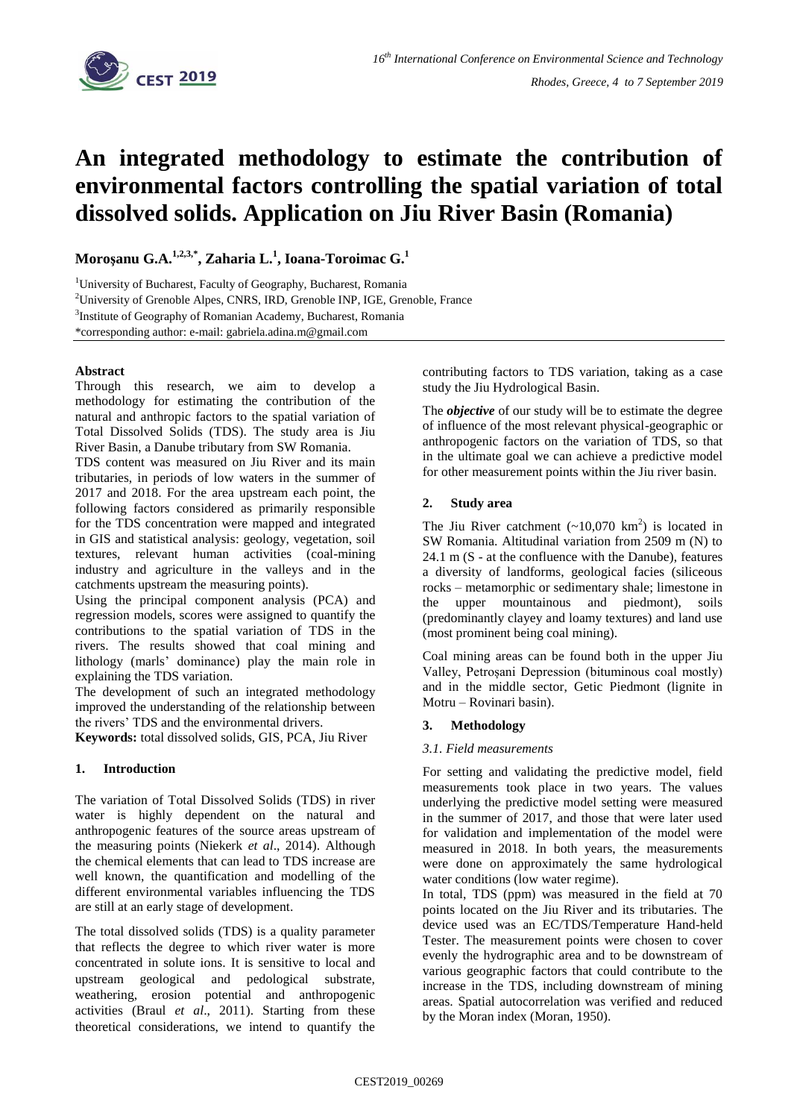

# **An integrated methodology to estimate the contribution of environmental factors controlling the spatial variation of total dissolved solids. Application on Jiu River Basin (Romania)**

**Moroşanu G.A.1,2,3,\* , Zaharia L. 1 , Ioana-Toroimac G. 1**

<sup>1</sup>University of Bucharest, Faculty of Geography, Bucharest, Romania <sup>2</sup>University of Grenoble Alpes, CNRS, IRD, Grenoble INP, IGE, Grenoble, France <sup>3</sup>Institute of Geography of Romanian Academy, Bucharest, Romania \*corresponding author: e-mail: gabriela.adina.m@gmail.com

## **Abstract**

Through this research, we aim to develop a methodology for estimating the contribution of the natural and anthropic factors to the spatial variation of Total Dissolved Solids (TDS). The study area is Jiu River Basin, a Danube tributary from SW Romania.

TDS content was measured on Jiu River and its main tributaries, in periods of low waters in the summer of 2017 and 2018. For the area upstream each point, the following factors considered as primarily responsible for the TDS concentration were mapped and integrated in GIS and statistical analysis: geology, vegetation, soil textures, relevant human activities (coal-mining industry and agriculture in the valleys and in the catchments upstream the measuring points).

Using the principal component analysis (PCA) and regression models, scores were assigned to quantify the contributions to the spatial variation of TDS in the rivers. The results showed that coal mining and lithology (marls' dominance) play the main role in explaining the TDS variation.

The development of such an integrated methodology improved the understanding of the relationship between the rivers' TDS and the environmental drivers.

**Keywords:** total dissolved solids, GIS, PCA, Jiu River

# **1. Introduction**

The variation of Total Dissolved Solids (TDS) in river water is highly dependent on the natural and anthropogenic features of the source areas upstream of the measuring points (Niekerk *et al*., 2014). Although the chemical elements that can lead to TDS increase are well known, the quantification and modelling of the different environmental variables influencing the TDS are still at an early stage of development.

The total dissolved solids (TDS) is a quality parameter that reflects the degree to which river water is more concentrated in solute ions. It is sensitive to local and upstream geological and pedological substrate, weathering, erosion potential and anthropogenic activities (Braul *et al*., 2011). Starting from these theoretical considerations, we intend to quantify the contributing factors to TDS variation, taking as a case study the Jiu Hydrological Basin.

The *objective* of our study will be to estimate the degree of influence of the most relevant physical-geographic or anthropogenic factors on the variation of TDS, so that in the ultimate goal we can achieve a predictive model for other measurement points within the Jiu river basin.

## **2. Study area**

The Jiu River catchment  $({\sim}10,070 \text{ km}^2)$  is located in SW Romania. Altitudinal variation from 2509 m (N) to 24.1 m (S - at the confluence with the Danube), features a diversity of landforms, geological facies (siliceous rocks – metamorphic or sedimentary shale; limestone in the upper mountainous and piedmont), soils (predominantly clayey and loamy textures) and land use (most prominent being coal mining).

Coal mining areas can be found both in the upper Jiu Valley, Petroșani Depression (bituminous coal mostly) and in the middle sector, Getic Piedmont (lignite in Motru – Rovinari basin).

## **3. Methodology**

## *3.1. Field measurements*

For setting and validating the predictive model, field measurements took place in two years. The values underlying the predictive model setting were measured in the summer of 2017, and those that were later used for validation and implementation of the model were measured in 2018. In both years, the measurements were done on approximately the same hydrological water conditions (low water regime).

In total, TDS (ppm) was measured in the field at 70 points located on the Jiu River and its tributaries. The device used was an EC/TDS/Temperature Hand-held Tester. The measurement points were chosen to cover evenly the hydrographic area and to be downstream of various geographic factors that could contribute to the increase in the TDS, including downstream of mining areas. Spatial autocorrelation was verified and reduced by the Moran index (Moran, 1950).